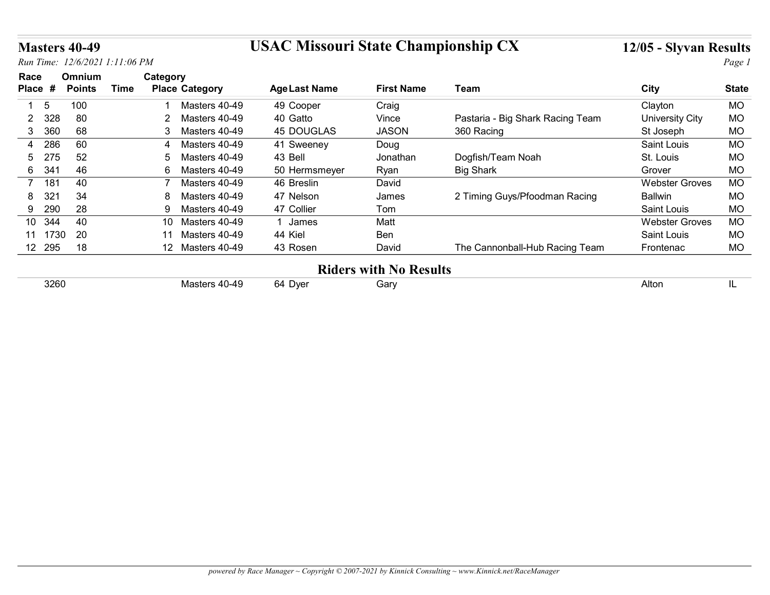### Masters 40-49 USAC Missouri State Championship CX 12/05 - Slyvan Results

|                      | <b>Masters 40-49</b>           |             |                                        | <b>USAC Missouri State Championship CX</b> |                               |                                  | 12/05 - Slyvan Results |              |
|----------------------|--------------------------------|-------------|----------------------------------------|--------------------------------------------|-------------------------------|----------------------------------|------------------------|--------------|
|                      | Run Time: 12/6/2021 1:11:06 PM |             |                                        |                                            |                               |                                  |                        | Page 1       |
| Race                 | Omnium                         |             | Category                               |                                            |                               |                                  |                        |              |
| Place #              | <b>Points</b>                  | <b>Time</b> | <b>Place Category</b>                  | <b>Age Last Name</b>                       | <b>First Name</b>             | <b>Team</b>                      | <b>City</b>            | <b>State</b> |
| -5                   | 100                            |             | Masters 40-49                          | 49 Cooper                                  | Craig                         |                                  | Clayton                | MO           |
| 328<br>2             | 80                             |             | Masters 40-49<br>$\mathbf{2}^{\prime}$ | 40 Gatto                                   | Vince                         | Pastaria - Big Shark Racing Team | <b>University City</b> | <b>MO</b>    |
| 360<br>3             | 68                             |             | Masters 40-49<br>3                     | <b>45 DOUGLAS</b>                          | <b>JASON</b>                  | 360 Racing                       | St Joseph              | MO           |
| 286<br>4             | 60                             |             | Masters 40-49                          | 41 Sweeney                                 | Doug                          |                                  | Saint Louis            | MO           |
| 275<br>5             | 52                             |             | Masters 40-49<br>5                     | 43 Bell                                    | Jonathan                      | Dogfish/Team Noah                | St. Louis              | <b>MO</b>    |
| 341<br>6             | 46                             |             | 6<br>Masters 40-49                     | 50 Hermsmeyer                              | Ryan                          | <b>Big Shark</b>                 | Grover                 | <b>MO</b>    |
| 181<br>7             | 40                             |             | Masters 40-49                          | 46 Breslin                                 | David                         |                                  | <b>Webster Groves</b>  | <b>MO</b>    |
| 32 <sup>1</sup><br>8 | 34                             |             | Masters 40-49<br>8                     | 47 Nelson                                  | James                         | 2 Timing Guys/Pfoodman Racing    | <b>Ballwin</b>         | <b>MO</b>    |
| 290<br>9             | 28                             |             | Masters 40-49<br>9                     | 47 Collier                                 | Tom                           |                                  | Saint Louis            | MO           |
| 10 344               | 40                             |             | 10 Masters 40-49                       | 1 James                                    | Matt                          |                                  | <b>Webster Groves</b>  | <b>MO</b>    |
| 11 1730              | 20                             |             | 11 Masters 40-49                       | 44 Kiel                                    | Ben                           |                                  | Saint Louis            | <b>MO</b>    |
|                      | 18                             |             | 12 Masters 40-49                       | 43 Rosen                                   | David                         | The Cannonball-Hub Racing Team   | Frontenac              | <b>MO</b>    |
| 12 295               |                                |             |                                        |                                            | <b>Riders with No Results</b> |                                  |                        |              |
|                      |                                |             | Masters 40-49                          | 64 Dyer                                    | Gary                          |                                  | Alton                  | IL           |
|                      | 3260                           |             |                                        |                                            |                               |                                  |                        |              |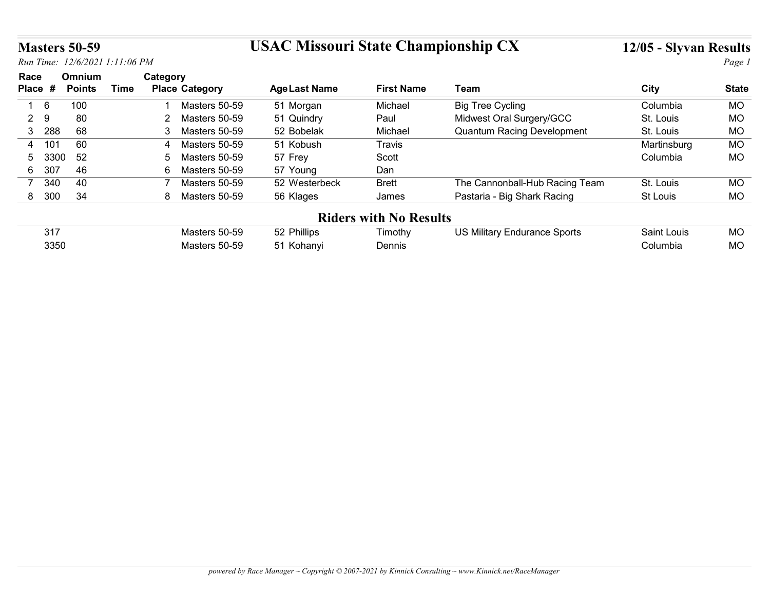## Masters 50-59 USAC Missouri State Championship CX 12/05 - Slyvan Results

|                       | <b>Masters 50-59</b> |                                |                                 | <b>USAC Missouri State Championship CX</b> |                               |                                     | 12/05 - Slyvan Results |                        |
|-----------------------|----------------------|--------------------------------|---------------------------------|--------------------------------------------|-------------------------------|-------------------------------------|------------------------|------------------------|
|                       |                      | Run Time: 12/6/2021 1:11:06 PM |                                 |                                            |                               |                                     |                        | Page 1                 |
| Race                  | Omnium               |                                | Category                        |                                            |                               |                                     |                        |                        |
| Place #               | <b>Points</b>        | <b>Time</b>                    | <b>Place Category</b>           | <b>Age Last Name</b>                       | <b>First Name</b>             | Team                                | City                   | <b>State</b>           |
| 6<br>$\overline{1}$   | 100                  |                                | Masters 50-59                   | 51 Morgan                                  | Michael                       | <b>Big Tree Cycling</b>             | Columbia               | <b>MO</b>              |
| 9<br>$\overline{2}$   | 80                   |                                | 2 Masters 50-59                 | 51 Quindry                                 | Paul                          | Midwest Oral Surgery/GCC            | St. Louis              | <b>MO</b>              |
|                       | 68                   |                                | 3 Masters 50-59                 | 52 Bobelak                                 | Michael                       | <b>Quantum Racing Development</b>   | St. Louis              | <b>MO</b>              |
| 3 288                 |                      |                                | Masters 50-59<br>4              | 51 Kobush                                  | Travis                        |                                     | Martinsburg            | <b>MO</b>              |
| 101<br>4              | 60                   |                                |                                 |                                            | Scott                         |                                     | Columbia               | <b>MO</b>              |
| 5                     | 52<br>3300           |                                | Masters 50-59<br>5              | 57 Frey                                    |                               |                                     |                        |                        |
| 307<br>6              | 46                   |                                | 6 Masters 50-59                 | 57 Young                                   | Dan                           |                                     |                        |                        |
| 340<br>$\overline{7}$ | 40                   |                                | $\overline{7}$<br>Masters 50-59 | 52 Westerbeck                              | <b>Brett</b>                  | The Cannonball-Hub Racing Team      | St. Louis              | MO                     |
| 8 300                 | 34                   |                                | 8 Masters 50-59                 | 56 Klages                                  | James                         | Pastaria - Big Shark Racing         | St Louis               | <b>MO</b>              |
|                       |                      |                                |                                 |                                            |                               |                                     |                        |                        |
| 317                   |                      |                                | Masters 50-59                   |                                            | <b>Riders with No Results</b> |                                     | Saint Louis            |                        |
|                       | 3350                 |                                | Masters 50-59                   | 52 Phillips<br>51 Kohanyi                  | Timothy<br>Dennis             | <b>US Military Endurance Sports</b> | Columbia               | <b>MO</b><br><b>MO</b> |

| 317  | Masters 50-59 | 52 Phillips | imothy | <b>US Military Endurance Sports</b> | Saint Louis | <b>MO</b> |
|------|---------------|-------------|--------|-------------------------------------|-------------|-----------|
| 3350 | Masters 50-59 | 51 Kohanvi  | Dennis |                                     | ;olumbia    | <b>MO</b> |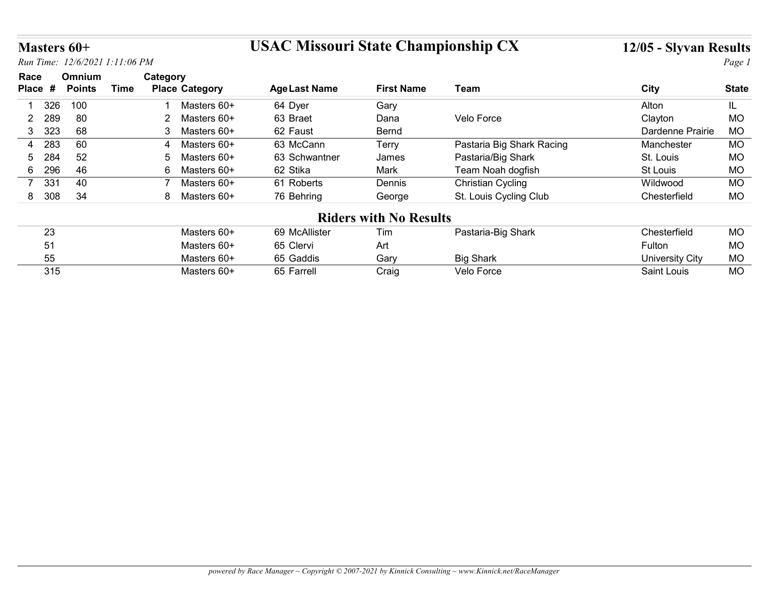## Masters 60+ USAC Missouri State Championship CX 12/05 - Slyvan Results

| Masters 60+                             |                                |                                                  | <b>USAC Missouri State Championship CX</b> |                               |                                | 12/05 - Slyvan Results                |                 |
|-----------------------------------------|--------------------------------|--------------------------------------------------|--------------------------------------------|-------------------------------|--------------------------------|---------------------------------------|-----------------|
|                                         | Run Time: 12/6/2021 1:11:06 PM |                                                  |                                            |                               |                                |                                       | Page 1          |
| Race<br>Place #                         | Omnium<br><b>Points</b>        | Category<br><b>Time</b><br><b>Place Category</b> | <b>Age Last Name</b>                       | <b>First Name</b>             | <b>Team</b>                    | <b>City</b>                           | <b>State</b>    |
|                                         | 100                            |                                                  |                                            |                               |                                |                                       |                 |
| 326<br>289                              | 80                             | Masters 60+<br>$\overline{2}$<br>Masters 60+     | 64 Dyer<br>63 Braet                        | Gary                          | Velo Force                     | Alton                                 | IL<br>MO        |
| $\overline{2}$<br>323<br>3 <sup>1</sup> | 68                             | 3 <sup>1</sup><br>Masters 60+                    | 62 Faust                                   | Dana<br>Bernd                 |                                | Clayton<br>Dardenne Prairie           | <b>MO</b>       |
| 283<br>4                                | 60                             | Masters 60+<br>4                                 | 63 McCann                                  | Terry                         | Pastaria Big Shark Racing      | Manchester                            | <b>MO</b>       |
| 284<br>5.                               | 52                             | Masters 60+<br>5                                 | 63 Schwantner                              | James                         | Pastaria/Big Shark             | St. Louis                             | <b>MO</b>       |
|                                         | 46                             | 6<br>Masters 60+                                 | 62 Stika                                   | Mark                          | Team Noah dogfish              | St Louis                              | MO              |
|                                         | 40                             | $\overline{7}$<br>Masters 60+                    | 61 Roberts                                 | Dennis                        | <b>Christian Cycling</b>       | Wildwood                              | <b>MO</b>       |
| 296<br>6<br>331<br>$\overline{7}$       |                                | 8 Masters 60+                                    | 76 Behring                                 | George                        | St. Louis Cycling Club         | Chesterfield                          | <b>MO</b>       |
| 8 308                                   | 34                             |                                                  |                                            | <b>Riders with No Results</b> |                                |                                       |                 |
|                                         |                                |                                                  |                                            |                               | Pastaria-Big Shark             | Chesterfield                          | <b>MO</b>       |
|                                         |                                |                                                  |                                            |                               |                                |                                       |                 |
| 23                                      |                                | Masters 60+                                      | 69 McAllister                              | Tim                           |                                |                                       |                 |
| 51                                      |                                | Masters 60+                                      | 65 Clervi                                  | Art                           |                                | Fulton                                | MO              |
| 55<br>315                               |                                | Masters 60+<br>Masters 60+                       | 65 Gaddis<br>65 Farrell                    | Gary<br>Craig                 | <b>Big Shark</b><br>Velo Force | <b>University City</b><br>Saint Louis | MO<br><b>MO</b> |

| nn<br>∠∪ | Masters 60+ | 69 McAllister | Tim   | Pastaria-Big Shark | Chesterfield                   | <b>MO</b> |
|----------|-------------|---------------|-------|--------------------|--------------------------------|-----------|
|          | Masters 60+ | 65 Clervi     | Art   |                    | $\overline{\phantom{a}}$ ulton | MO        |
| .55      | Masters 60+ | 65 Gaddis     | Garv  | <b>Big Shark</b>   | University City                | <b>MO</b> |
| 315      | Masters 60+ | 65 Farrell    | Craig | <b>Velo Force</b>  | Saint Louis                    | <b>MO</b> |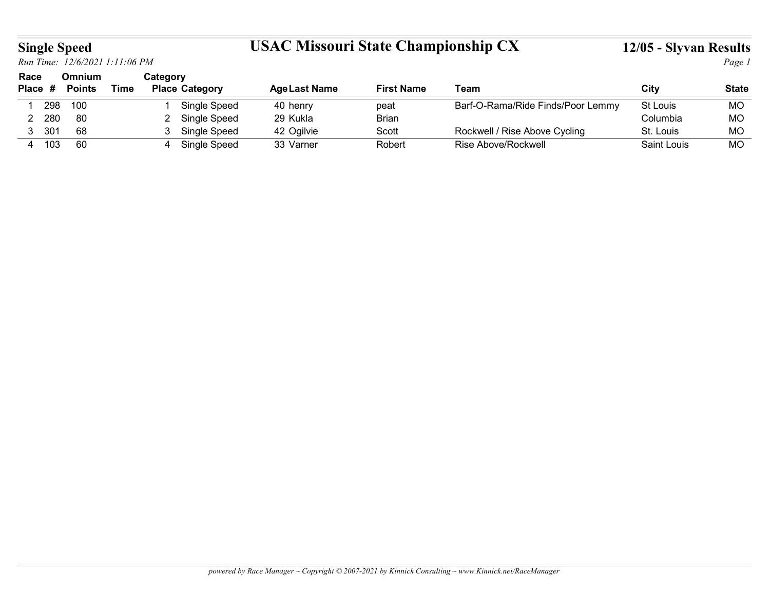## Single Speed USAC Missouri State Championship CX 12/05 - Slyvan Results

| <b>Single Speed</b> |                         |                                |          |                                  | <b>USAC Missouri State Championship CX</b> |                   |                                   | 12/05 - Slyvan Results |              |
|---------------------|-------------------------|--------------------------------|----------|----------------------------------|--------------------------------------------|-------------------|-----------------------------------|------------------------|--------------|
|                     |                         | Run Time: 12/6/2021 1:11:06 PM |          |                                  |                                            |                   |                                   |                        | Page 1       |
| Race<br>Place #     | Omnium<br><b>Points</b> | <b>Time</b>                    | Category | <b>Place Category</b>            | <b>Age Last Name</b>                       | <b>First Name</b> | <b>Team</b>                       | <b>City</b>            | <b>State</b> |
| 298<br>-1           | 100                     |                                |          | Single Speed                     | 40 henry                                   | peat              | Barf-O-Rama/Ride Finds/Poor Lemmy | St Louis               | <b>MO</b>    |
| 2 280               | 80                      |                                |          | 2 Single Speed                   | 29 Kukla                                   | <b>Brian</b>      |                                   | Columbia               | <b>MO</b>    |
| 3 301               | 68                      |                                |          | 3 Single Speed<br>4 Single Speed | 42 Ogilvie                                 | Scott             | Rockwell / Rise Above Cycling     | St. Louis              | MO           |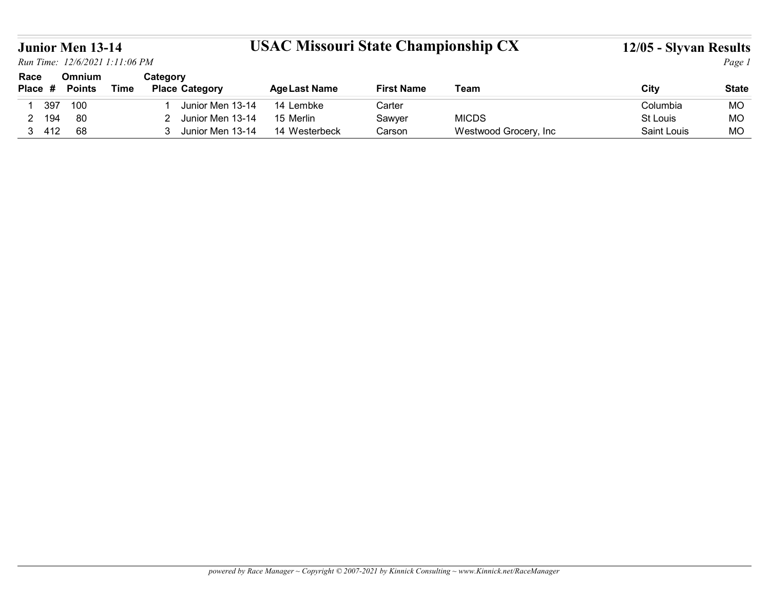## Junior Men 13-14 USAC Missouri State Championship CX 12/05 - Slyvan Results

| <b>Junior Men 13-14</b>        |               |             |                                    | <b>USAC Missouri State Championship CX</b> |                   |              | 12/05 - Slyvan Results |              |
|--------------------------------|---------------|-------------|------------------------------------|--------------------------------------------|-------------------|--------------|------------------------|--------------|
| Run Time: 12/6/2021 1:11:06 PM |               |             |                                    |                                            |                   |              |                        | Page 1       |
| Race                           | Omnium        |             | Category                           |                                            |                   |              |                        |              |
| Place #                        | <b>Points</b> | <b>Time</b> | <b>Place Category</b>              | <b>Age Last Name</b>                       | <b>First Name</b> | Team         | <b>City</b>            | <b>State</b> |
| 397                            | 100           |             | Junior Men 13-14                   | 14 Lembke                                  | Carter            |              | Columbia               | MO           |
| 194<br>2 <sup>7</sup>          | 80            |             | Junior Men 13-14<br>2 <sup>1</sup> | 15 Merlin                                  | Sawyer            | <b>MICDS</b> | St Louis               | <b>MO</b>    |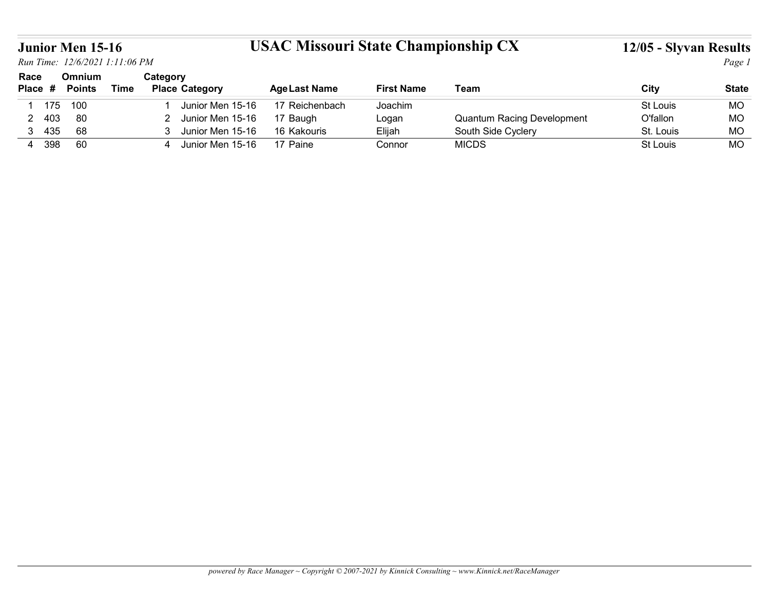## Junior Men 15-16 USAC Missouri State Championship CX 12/05 - Slyvan Results

|                    | <b>Junior Men 15-16</b>        |             |                                                          |                                            |                   |                                    |                        |                 |
|--------------------|--------------------------------|-------------|----------------------------------------------------------|--------------------------------------------|-------------------|------------------------------------|------------------------|-----------------|
|                    | Run Time: 12/6/2021 1:11:06 PM |             |                                                          | <b>USAC Missouri State Championship CX</b> |                   |                                    | 12/05 - Slyvan Results | Page 1          |
| Race<br>Place #    | Omnium<br><b>Points</b>        | <b>Time</b> | Category<br><b>Place Category</b>                        | <b>Age Last Name</b>                       | <b>First Name</b> | Team                               | City                   | <b>State</b>    |
| 175<br>-1          | 100                            |             | Junior Men 15-16                                         | 17 Reichenbach                             | Joachim           |                                    | St Louis               | <b>MO</b>       |
| 403<br>$2^{\circ}$ | 80                             |             | Junior Men 15-16<br>$2^{\circ}$                          | 17 Baugh                                   | Logan             | <b>Quantum Racing Development</b>  | O'fallon               | <b>MO</b>       |
| 3 435<br>4 398     | 68<br>60                       |             | Junior Men 15-16<br>3 <sup>1</sup><br>4 Junior Men 15-16 | 16 Kakouris                                | Elijah            | South Side Cyclery<br><b>MICDS</b> | St. Louis<br>St Louis  | MO<br><b>MO</b> |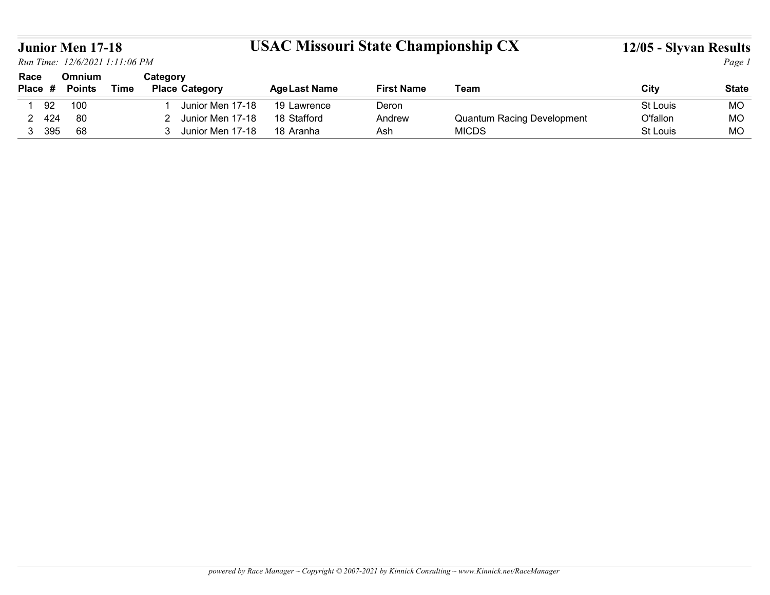## Junior Men 17-18 USAC Missouri State Championship CX 12/05 - Slyvan Results

| <b>Junior Men 17-18</b>        |               |             |                                 | <b>USAC Missouri State Championship CX</b> |                   |                                   | 12/05 - Slyvan Results |              |
|--------------------------------|---------------|-------------|---------------------------------|--------------------------------------------|-------------------|-----------------------------------|------------------------|--------------|
| Run Time: 12/6/2021 1:11:06 PM |               |             |                                 |                                            |                   |                                   |                        | Page 1       |
| Race                           | Omnium        |             | Category                        |                                            |                   |                                   |                        |              |
| Place #                        | <b>Points</b> | <b>Time</b> | <b>Place Category</b>           | <b>Age Last Name</b>                       | <b>First Name</b> | Team                              | <b>City</b>            | <b>State</b> |
| 92                             | 100           |             | Junior Men 17-18                | 19 Lawrence                                | Deron             |                                   | St Louis               | <b>MO</b>    |
| 424<br>2 <sup>7</sup>          | 80            |             | Junior Men 17-18<br>$2^{\circ}$ | 18 Stafford                                | Andrew            | <b>Quantum Racing Development</b> | O'fallon               | <b>MO</b>    |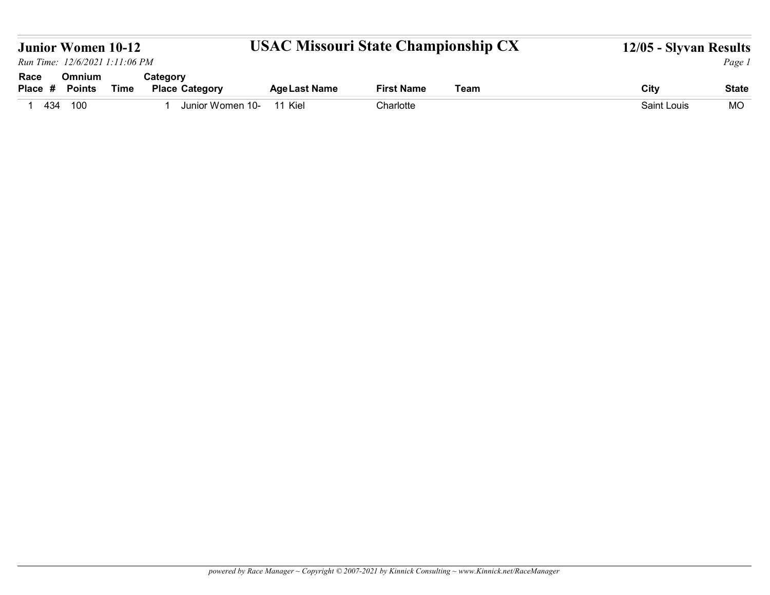|                 | <b>Junior Women 10-12</b>      |             |                                   | <b>USAC Missouri State Championship CX</b> |                   |      | 12/05 - Slyvan Results |              |
|-----------------|--------------------------------|-------------|-----------------------------------|--------------------------------------------|-------------------|------|------------------------|--------------|
|                 | Run Time: 12/6/2021 1:11:06 PM |             |                                   |                                            |                   |      |                        | Page 1       |
| Race<br>Place # | Omnium<br><b>Points</b>        | <b>Time</b> | Category<br><b>Place Category</b> | <b>Age Last Name</b>                       | <b>First Name</b> | Team | <b>City</b>            | <b>State</b> |
| 1 434           | 100                            |             | Junior Women 10-<br>-1            | 11 Kiel                                    | Charlotte         |      | Saint Louis            | MO           |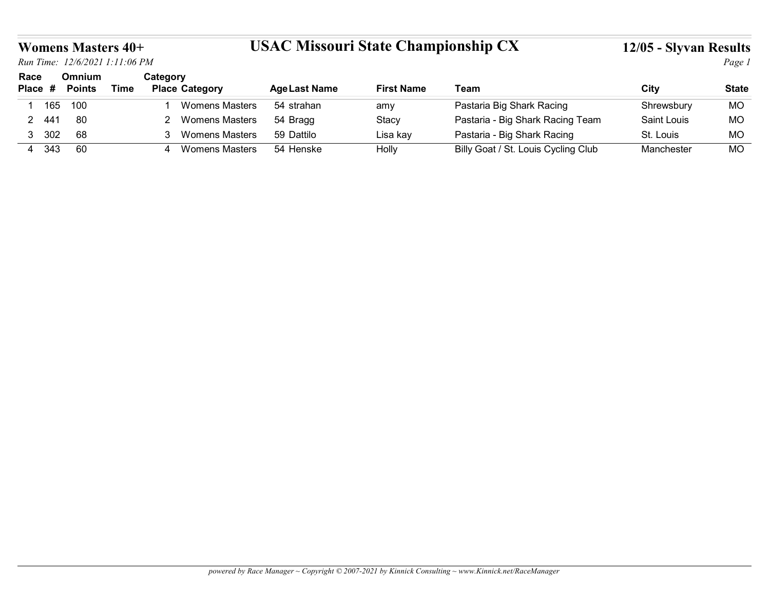### Womens Masters 40+ USAC Missouri State Championship CX 12/05 - Slyvan Results

|                 |                         | <b>Womens Masters 40+</b><br>Run Time: 12/6/2021 1:11:06 PM |                                   |                       | <b>USAC Missouri State Championship CX</b> |                   |                                                                    | 12/05 - Slyvan Results | Page 1                    |
|-----------------|-------------------------|-------------------------------------------------------------|-----------------------------------|-----------------------|--------------------------------------------|-------------------|--------------------------------------------------------------------|------------------------|---------------------------|
| Race<br>Place # | Omnium<br><b>Points</b> | <b>Time</b>                                                 | Category<br><b>Place Category</b> |                       | <b>Age Last Name</b>                       | <b>First Name</b> | <b>Team</b>                                                        | City                   |                           |
|                 | 100<br>165              |                                                             |                                   | <b>Womens Masters</b> | 54 strahan                                 | amy               | Pastaria Big Shark Racing                                          | Shrewsbury             | <b>State</b><br><b>MO</b> |
| 2 441           | 80                      |                                                             |                                   | 2 Womens Masters      | 54 Bragg                                   | Stacy             | Pastaria - Big Shark Racing Team                                   | Saint Louis            | MO                        |
| 3 302           | 68                      |                                                             |                                   | 3 Womens Masters      | 59 Dattilo                                 | Lisa kay          | Pastaria - Big Shark Racing<br>Billy Goat / St. Louis Cycling Club | St. Louis              | <b>MO</b>                 |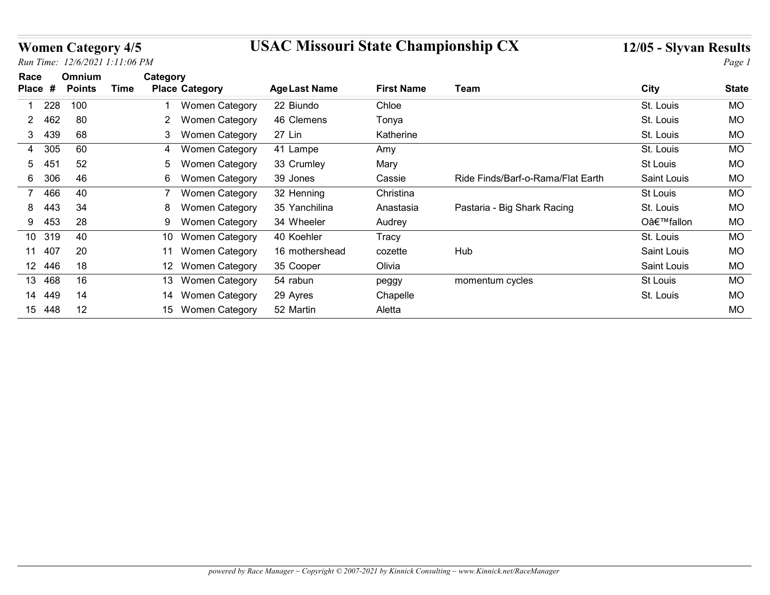## Women Category 4/5 USAC Missouri State Championship CX 12/05 - Slyvan Results

|                 |     |                                                             |          |                       | <b>USAC Missouri State Championship CX</b> |                   |                                   |                        |              |
|-----------------|-----|-------------------------------------------------------------|----------|-----------------------|--------------------------------------------|-------------------|-----------------------------------|------------------------|--------------|
|                 |     | <b>Women Category 4/5</b><br>Run Time: 12/6/2021 1:11:06 PM |          |                       |                                            |                   |                                   | 12/05 - Slyvan Results | Page 1       |
| Race<br>Place # |     | Omnium<br><b>Time</b><br><b>Points</b>                      | Category | <b>Place Category</b> | <b>Age Last Name</b>                       | <b>First Name</b> | <b>Team</b>                       | <b>City</b>            | <b>State</b> |
|                 | 228 | 100                                                         |          | Women Category        | 22 Biundo                                  | Chloe             |                                   | St. Louis              | <b>MO</b>    |
| 2               | 462 | 80                                                          |          | 2 Women Category      | 46 Clemens                                 | Tonya             |                                   | St. Louis              | <b>MO</b>    |
| 3 439           |     | 68                                                          | 3        | <b>Women Category</b> | 27 Lin                                     | Katherine         |                                   | St. Louis              | <b>MO</b>    |
| 4 305           |     | 60                                                          | 4        | <b>Women Category</b> | 41 Lampe                                   | Amy               |                                   | St. Louis              | <b>MO</b>    |
| 5.              | 451 | 52                                                          | 5        | Women Category        | 33 Crumley                                 | Mary              |                                   | St Louis               | <b>MO</b>    |
| 6               | 306 | 46                                                          |          | 6 Women Category      | 39 Jones                                   | Cassie            | Ride Finds/Barf-o-Rama/Flat Earth | Saint Louis            | <b>MO</b>    |
| 7               | 466 | 40                                                          |          | Women Category        | 32 Henning                                 | Christina         |                                   | St Louis               | <b>MO</b>    |
| 8               | 443 | 34                                                          |          | <b>Women Category</b> | 35 Yanchilina                              | Anastasia         | Pastaria - Big Shark Racing       | St. Louis              | MO           |
| 9               | 453 | 28                                                          | 9        | <b>Women Category</b> | 34 Wheeler                                 | Audrey            |                                   | O'fallon               | <b>MO</b>    |
| 10 319          |     | 40                                                          |          | 10 Women Category     | 40 Koehler                                 | <b>Tracy</b>      |                                   | St. Louis              | <b>MO</b>    |
| 11 407          |     | 20                                                          |          | 11 Women Category     | 16 mothershead                             | cozette           | Hub                               | Saint Louis            | <b>MO</b>    |
| 12 446          |     | 18                                                          |          | 12 Women Category     | 35 Cooper                                  | Olivia            |                                   | Saint Louis            | MO           |
| 13 468          |     | 16                                                          |          | 13 Women Category     | 54 rabun                                   | peggy             | momentum cycles                   | St Louis               | MO           |
| 14 449          |     | 14                                                          |          | 14 Women Category     | 29 Ayres                                   | Chapelle          |                                   | St. Louis              | MO           |
| 15 448          |     | 12                                                          |          | 15 Women Category     | 52 Martin                                  | Aletta            |                                   |                        | MO           |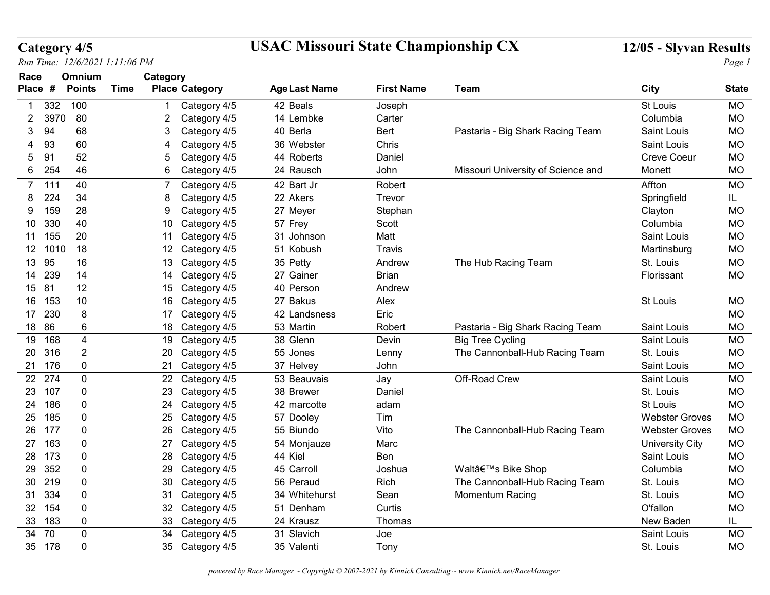## Category 4/5 USAC Missouri State Championship CX 12/05 - Slyvan Results

| Category 4/5     | Run Time: 12/6/2021 1:11:06 PM |             |                                    | <b>USAC Missouri State Championship CX</b> |                        |                                    | 12/05 - Slyvan Results                         | Page 1                 |
|------------------|--------------------------------|-------------|------------------------------------|--------------------------------------------|------------------------|------------------------------------|------------------------------------------------|------------------------|
| Race<br>Place #  | Omnium<br><b>Points</b>        | <b>Time</b> | Category<br><b>Place Category</b>  | <b>Age Last Name</b>                       | <b>First Name</b>      | Team                               | City                                           | <b>State</b>           |
| 332              | 100                            |             | Category 4/5                       | 42 Beals                                   | Joseph                 |                                    | St Louis                                       | <b>MO</b>              |
| 3970<br>2        | 80                             |             | Category 4/5                       | 14 Lembke                                  | Carter                 |                                    | Columbia                                       | <b>MO</b>              |
| 94<br>3          | 68                             |             | 3<br>Category 4/5                  | 40 Berla                                   | Bert                   | Pastaria - Big Shark Racing Team   | Saint Louis                                    | <b>MO</b>              |
| 93<br>4          | 60                             |             | Category 4/5<br>4                  | 36 Webster                                 | Chris                  |                                    | Saint Louis                                    | <b>MO</b>              |
| 91<br>5.         | 52                             |             | Category 4/5<br>5                  | 44 Roberts                                 | Daniel                 |                                    | <b>Creve Coeur</b>                             | <b>MO</b>              |
| 254<br>6         | 46                             |             | 6<br>Category 4/5                  | 24 Rausch                                  | John                   | Missouri University of Science and | Monett                                         | <b>MO</b>              |
| 7 111            | 40                             |             | Category 4/5                       | 42 Bart Jr                                 | Robert                 |                                    | Affton                                         | <b>MO</b>              |
| 224<br>8         | 34                             |             | 8<br>Category 4/5                  | 22 Akers                                   | Trevor                 |                                    | Springfield                                    | IL.                    |
| 159<br>9         | 28                             |             | 9<br>Category 4/5                  | 27 Meyer                                   | Stephan                |                                    | Clayton                                        | <b>MO</b>              |
| 10 330           | 40                             |             | 10 Category 4/5                    | 57 Frey                                    | Scott                  |                                    | Columbia                                       | <b>MO</b>              |
| 11 155           | 20                             |             | 11 Category 4/5                    | 31 Johnson                                 | Matt                   |                                    | Saint Louis                                    | <b>MO</b>              |
| 12 1010          | 18                             |             | 12 Category 4/5                    | 51 Kobush                                  | Travis                 |                                    | Martinsburg                                    | <b>MO</b>              |
| 13 95<br>14 239  | 16<br>14                       |             | 13 Category 4/5<br>14 Category 4/5 | 35 Petty<br>27 Gainer                      | Andrew<br><b>Brian</b> | The Hub Racing Team                | St. Louis<br>Florissant                        | <b>MO</b><br><b>MO</b> |
| 15 81            | 12                             |             | 15 Category 4/5                    | 40 Person                                  | Andrew                 |                                    |                                                |                        |
| 16 153           | 10                             |             | 16 Category 4/5                    | 27 Bakus                                   | Alex                   |                                    | St Louis                                       | <b>MO</b>              |
| 17 230           | 8                              |             | 17 Category 4/5                    | 42 Landsness                               | Eric                   |                                    |                                                | <b>MO</b>              |
| 18 86            | 6                              |             | 18 Category 4/5                    | 53 Martin                                  | Robert                 | Pastaria - Big Shark Racing Team   | Saint Louis                                    | <b>MO</b>              |
| 19 168           | 4                              |             | 19 Category 4/5                    | 38 Glenn                                   | Devin                  | <b>Big Tree Cycling</b>            | Saint Louis                                    | <b>MO</b>              |
| 20 316           | $\overline{2}$                 |             | 20<br>Category 4/5                 | 55 Jones                                   | Lenny                  | The Cannonball-Hub Racing Team     | St. Louis                                      | <b>MO</b>              |
| 21 176           | 0                              |             | 21 Category 4/5                    | 37 Helvey                                  | John                   |                                    | Saint Louis                                    | <b>MO</b>              |
| 22 274           | 0                              |             | 22 Category 4/5                    | 53 Beauvais                                | Jay                    | Off-Road Crew                      | Saint Louis                                    | <b>MO</b>              |
| 23 107           | 0                              |             | 23 Category 4/5                    | 38 Brewer                                  | Daniel                 |                                    | St. Louis                                      | <b>MO</b>              |
| 24 186           | 0                              |             | 24 Category 4/5                    | 42 marcotte                                | adam                   |                                    | St Louis                                       | <b>MO</b>              |
| 25 185<br>26 177 | 0                              |             | 25 Category 4/5                    | 57 Dooley<br>55 Biundo                     | Tim<br>Vito            | The Cannonball-Hub Racing Team     | <b>Webster Groves</b><br><b>Webster Groves</b> | <b>MO</b><br><b>MO</b> |
| 27 163           | 0<br>0                         |             | 26 Category 4/5<br>27 Category 4/5 | 54 Monjauze                                | Marc                   |                                    | <b>University City</b>                         | <b>MO</b>              |
| 28 173           | 0                              |             | 28 Category 4/5                    | 44 Kiel                                    | Ben                    |                                    | Saint Louis                                    | MO                     |
| 29 352           | 0                              |             | 29<br>Category 4/5                 | 45 Carroll                                 | Joshua                 | Walt's Bike Shop                   | Columbia                                       | <b>MO</b>              |
| 30 219           | 0                              |             | 30 Category 4/5                    | 56 Peraud                                  | Rich                   | The Cannonball-Hub Racing Team     | St. Louis                                      | <b>MO</b>              |
| 31 334           | 0                              |             | 31<br>Category 4/5                 | 34 Whitehurst                              | Sean                   | <b>Momentum Racing</b>             | St. Louis                                      | <b>MO</b>              |
| 32 154           | 0                              |             | 32 Category 4/5                    | 51 Denham                                  | Curtis                 |                                    | O'fallon                                       | <b>MO</b>              |
| 33 183           | 0                              |             | 33 Category 4/5                    | 24 Krausz                                  | Thomas                 |                                    | New Baden                                      | IL.                    |
| 34 70            | 0                              |             | 34 Category 4/5                    | 31 Slavich                                 | Joe                    |                                    | Saint Louis                                    | <b>MO</b>              |
| 35 178           | 0                              |             | 35 Category 4/5                    | 35 Valenti                                 | Tony                   |                                    | St. Louis                                      | <b>MO</b>              |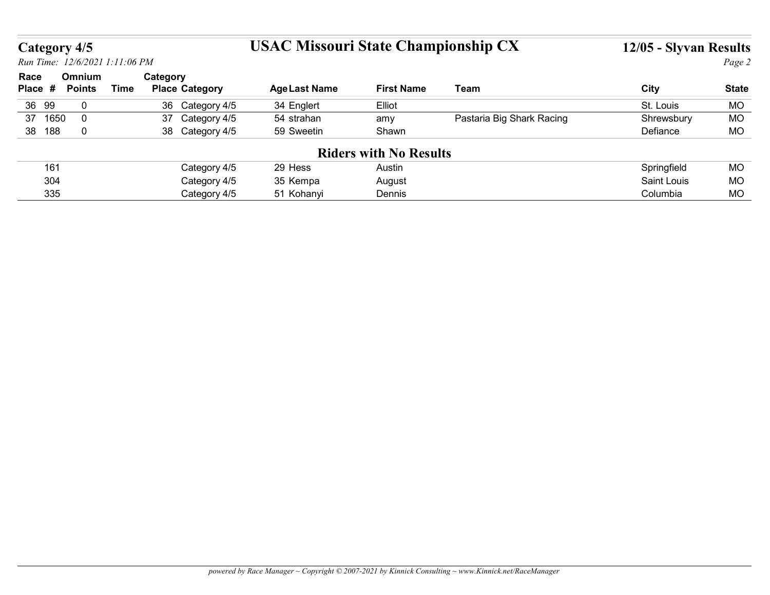# Category 4/5 USAC Missouri State Championship CX 12/05 - Slyvan Results

| <b>USAC Missouri State Championship CX</b><br>Category 4/5<br>Run Time: 12/6/2021 1:11:06 PM<br>Omnium<br>Category<br>Race<br><b>City</b><br><b>Points</b><br><b>Time</b><br><b>Place Category</b><br><b>Age Last Name</b><br><b>First Name</b><br>Team<br>Place #<br>36 99<br>34 Englert<br>$\overline{0}$<br>36 Category 4/5<br>Elliot<br>St. Louis<br>Pastaria Big Shark Racing<br>37 1650<br>$\overline{0}$<br>37 Category 4/5<br>Shrewsbury<br>54 strahan<br>amy<br>38 188<br>$\boldsymbol{0}$<br>38 Category 4/5<br><b>MO</b><br>59 Sweetin<br>Shawn<br>Defiance<br><b>Riders with No Results</b><br>Springfield<br>161<br>Category 4/5<br>29 Hess<br>Austin<br><b>MO</b><br>304<br>Category 4/5<br>Saint Louis<br>35 Kempa<br>August<br>335<br>Category 4/5<br>Columbia<br>51 Kohanyi<br>Dennis |  |  |  |  |  |
|--------------------------------------------------------------------------------------------------------------------------------------------------------------------------------------------------------------------------------------------------------------------------------------------------------------------------------------------------------------------------------------------------------------------------------------------------------------------------------------------------------------------------------------------------------------------------------------------------------------------------------------------------------------------------------------------------------------------------------------------------------------------------------------------------------|--|--|--|--|--|
| <b>MO</b><br><b>MO</b><br><b>MO</b><br>MO                                                                                                                                                                                                                                                                                                                                                                                                                                                                                                                                                                                                                                                                                                                                                              |  |  |  |  |  |
|                                                                                                                                                                                                                                                                                                                                                                                                                                                                                                                                                                                                                                                                                                                                                                                                        |  |  |  |  |  |
| <b>State</b>                                                                                                                                                                                                                                                                                                                                                                                                                                                                                                                                                                                                                                                                                                                                                                                           |  |  |  |  |  |
|                                                                                                                                                                                                                                                                                                                                                                                                                                                                                                                                                                                                                                                                                                                                                                                                        |  |  |  |  |  |
|                                                                                                                                                                                                                                                                                                                                                                                                                                                                                                                                                                                                                                                                                                                                                                                                        |  |  |  |  |  |
|                                                                                                                                                                                                                                                                                                                                                                                                                                                                                                                                                                                                                                                                                                                                                                                                        |  |  |  |  |  |
|                                                                                                                                                                                                                                                                                                                                                                                                                                                                                                                                                                                                                                                                                                                                                                                                        |  |  |  |  |  |
|                                                                                                                                                                                                                                                                                                                                                                                                                                                                                                                                                                                                                                                                                                                                                                                                        |  |  |  |  |  |
|                                                                                                                                                                                                                                                                                                                                                                                                                                                                                                                                                                                                                                                                                                                                                                                                        |  |  |  |  |  |
| 12/05 - Slyvan Results<br>Page 2                                                                                                                                                                                                                                                                                                                                                                                                                                                                                                                                                                                                                                                                                                                                                                       |  |  |  |  |  |
|                                                                                                                                                                                                                                                                                                                                                                                                                                                                                                                                                                                                                                                                                                                                                                                                        |  |  |  |  |  |
|                                                                                                                                                                                                                                                                                                                                                                                                                                                                                                                                                                                                                                                                                                                                                                                                        |  |  |  |  |  |
|                                                                                                                                                                                                                                                                                                                                                                                                                                                                                                                                                                                                                                                                                                                                                                                                        |  |  |  |  |  |
|                                                                                                                                                                                                                                                                                                                                                                                                                                                                                                                                                                                                                                                                                                                                                                                                        |  |  |  |  |  |
|                                                                                                                                                                                                                                                                                                                                                                                                                                                                                                                                                                                                                                                                                                                                                                                                        |  |  |  |  |  |
|                                                                                                                                                                                                                                                                                                                                                                                                                                                                                                                                                                                                                                                                                                                                                                                                        |  |  |  |  |  |
|                                                                                                                                                                                                                                                                                                                                                                                                                                                                                                                                                                                                                                                                                                                                                                                                        |  |  |  |  |  |
|                                                                                                                                                                                                                                                                                                                                                                                                                                                                                                                                                                                                                                                                                                                                                                                                        |  |  |  |  |  |
|                                                                                                                                                                                                                                                                                                                                                                                                                                                                                                                                                                                                                                                                                                                                                                                                        |  |  |  |  |  |
|                                                                                                                                                                                                                                                                                                                                                                                                                                                                                                                                                                                                                                                                                                                                                                                                        |  |  |  |  |  |
|                                                                                                                                                                                                                                                                                                                                                                                                                                                                                                                                                                                                                                                                                                                                                                                                        |  |  |  |  |  |
|                                                                                                                                                                                                                                                                                                                                                                                                                                                                                                                                                                                                                                                                                                                                                                                                        |  |  |  |  |  |
|                                                                                                                                                                                                                                                                                                                                                                                                                                                                                                                                                                                                                                                                                                                                                                                                        |  |  |  |  |  |
|                                                                                                                                                                                                                                                                                                                                                                                                                                                                                                                                                                                                                                                                                                                                                                                                        |  |  |  |  |  |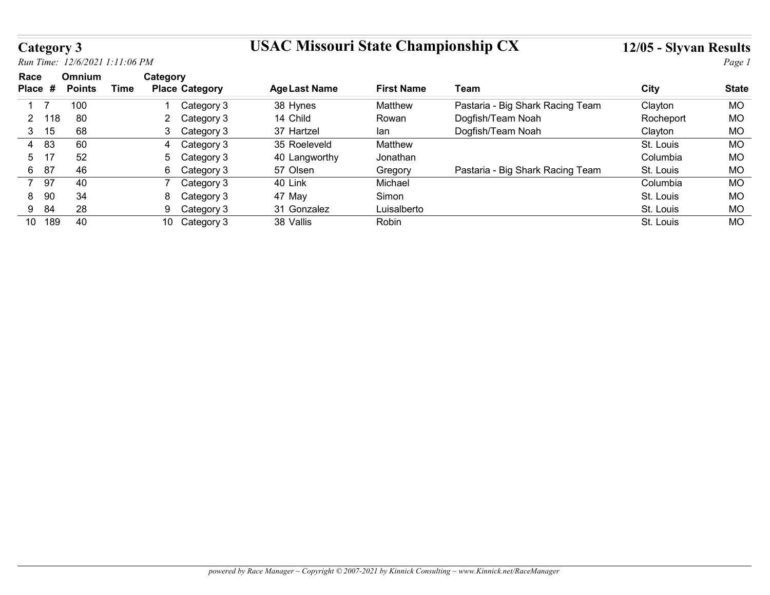## Category 3 USAC Missouri State Championship CX 12/05 - Slyvan Results

| <b>Category 3</b>                |                                        |                              | <b>USAC Missouri State Championship CX</b> | 12/05 - Slyvan Results |                                  |           |              |
|----------------------------------|----------------------------------------|------------------------------|--------------------------------------------|------------------------|----------------------------------|-----------|--------------|
|                                  | Run Time: 12/6/2021 1:11:06 PM         |                              |                                            |                        |                                  |           | Page 1       |
| Race                             | Omnium<br><b>Time</b><br><b>Points</b> | Category                     |                                            | <b>First Name</b>      | Team                             |           | <b>State</b> |
| Place #                          |                                        | <b>Place Category</b>        | <b>Age Last Name</b>                       |                        |                                  | City      |              |
| $\overline{7}$<br>$\overline{1}$ | 100                                    | Category 3                   | 38 Hynes                                   | Matthew                | Pastaria - Big Shark Racing Team | Clayton   | MO           |
|                                  | 80                                     | Category 3<br>$\overline{2}$ | 14 Child                                   | Rowan                  | Dogfish/Team Noah                | Rocheport | <b>MO</b>    |
| $\mathbf{2}$<br>118              | 68                                     | 3<br>Category 3              | 37 Hartzel                                 | lan                    | Dogfish/Team Noah                | Clayton   | <b>MO</b>    |
| $3 \quad 15$                     |                                        |                              | 35 Roeleveld                               | Matthew                |                                  | St. Louis | <b>MO</b>    |
| 83<br>4                          | 60                                     | Category 3<br>4              |                                            |                        |                                  | Columbia  | <b>MO</b>    |
| 17<br>5                          | 52                                     | 5<br>Category 3              | 40 Langworthy                              | Jonathan               |                                  |           |              |
| 6 87                             | 46                                     | 6<br>Category 3              | 57 Olsen                                   | Gregory                | Pastaria - Big Shark Racing Team | St. Louis | <b>MO</b>    |
| 97<br>$7^{\circ}$                | 40                                     | $\overline{7}$<br>Category 3 | 40 Link                                    | Michael                |                                  | Columbia  | <b>MO</b>    |
| 90<br>8                          | 34                                     | Category 3<br>8              | 47 May                                     | Simon                  |                                  | St. Louis | <b>MO</b>    |
| 84<br>9                          | 28                                     | 9<br>Category 3              | 31 Gonzalez                                | Luisalberto            |                                  | St. Louis | <b>MO</b>    |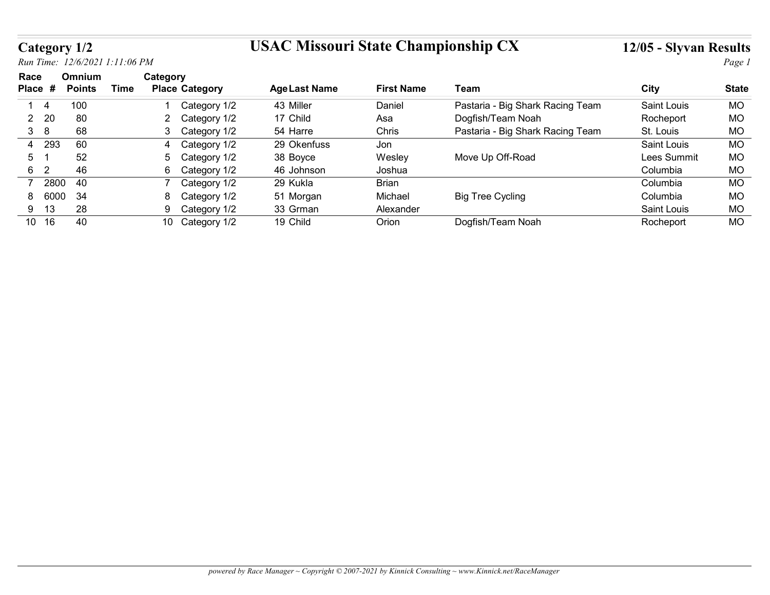## Category 1/2 USAC Missouri State Championship CX 12/05 - Slyvan Results

| Category 1/2                   |                                |                                     | <b>USAC Missouri State Championship CX</b> |                      |                                  | 12/05 - Slyvan Results  |                        |  |
|--------------------------------|--------------------------------|-------------------------------------|--------------------------------------------|----------------------|----------------------------------|-------------------------|------------------------|--|
|                                | Run Time: 12/6/2021 1:11:06 PM |                                     |                                            |                      |                                  | Page 1                  |                        |  |
| Race                           | Omnium                         | Category                            |                                            |                      |                                  |                         |                        |  |
| Place #                        | <b>Time</b><br><b>Points</b>   | <b>Place Category</b>               | <b>Age Last Name</b>                       | <b>First Name</b>    | <b>Team</b>                      | City                    | <b>State</b>           |  |
| $\overline{4}$<br>$\mathbf{1}$ | 100                            | Category 1/2                        | 43 Miller                                  | Daniel               | Pastaria - Big Shark Racing Team | Saint Louis             | <b>MO</b>              |  |
|                                | 80                             | $\overline{2}$<br>Category 1/2      | 17 Child                                   | Asa                  | Dogfish/Team Noah                | Rocheport               | <b>MO</b>              |  |
| 20                             |                                | Category 1/2<br>3                   | 54 Harre                                   | Chris                | Pastaria - Big Shark Racing Team | St. Louis               | MO                     |  |
| $\overline{2}$<br>38           | 68                             |                                     |                                            |                      |                                  |                         |                        |  |
| 293<br>4                       | 60                             | 4                                   | 29 Okenfuss                                | Jon                  |                                  | Saint Louis             | <b>MO</b>              |  |
| 5<br>$\overline{1}$            | 52                             | Category 1/2<br>5                   | 38 Boyce                                   | Wesley               |                                  | Lees Summit             | <b>MO</b>              |  |
| $\overline{2}$<br>6            | 46                             | Category 1/2                        |                                            |                      | Move Up Off-Road                 | Columbia                |                        |  |
| $\overline{7}$                 | 40                             | 6<br>Category 1/2<br>$\overline{7}$ | 46 Johnson                                 | Joshua               |                                  |                         | <b>MO</b>              |  |
| 2800                           |                                | Category 1/2<br>8                   | 29 Kukla                                   | Brian                |                                  | Columbia                | <b>MO</b>              |  |
| 6000<br>8<br>13<br>9           | 34<br>28                       | Category 1/2<br>9<br>Category 1/2   | 51 Morgan<br>33 Grman                      | Michael<br>Alexander | <b>Big Tree Cycling</b>          | Columbia<br>Saint Louis | <b>MO</b><br><b>MO</b> |  |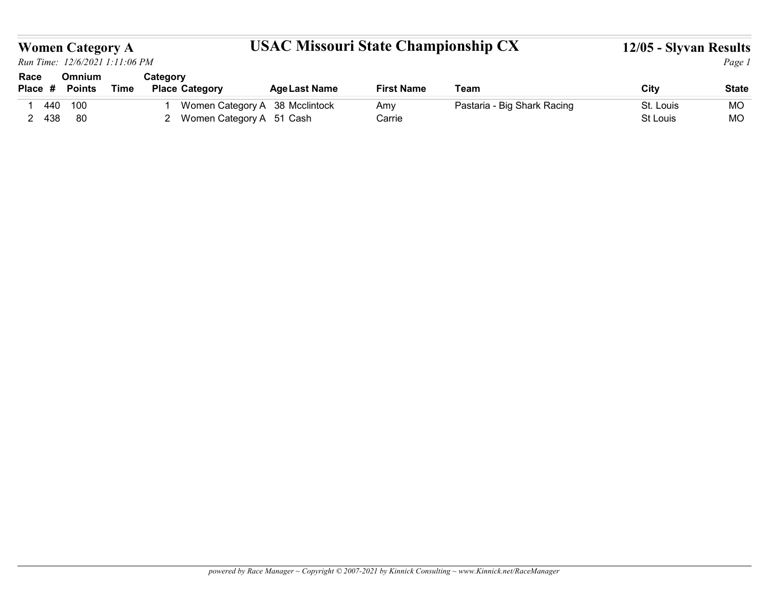# Women Category A **USAC Missouri State Championship CX** 12/05 - Slyvan Results  $O<sub>max</sub>$

|                    | <b>Women Category A</b><br>Run Time: 12/6/2021 1:11:06 PM |             |                                   | <b>USAC Missouri State Championship CX</b>                   |                   |                             | 12/05 - Slyvan Results | Page 1       |
|--------------------|-----------------------------------------------------------|-------------|-----------------------------------|--------------------------------------------------------------|-------------------|-----------------------------|------------------------|--------------|
| Race<br>Place #    | Omnium<br><b>Points</b>                                   | <b>Time</b> | Category<br><b>Place Category</b> | <b>Age Last Name</b>                                         | <b>First Name</b> | Team                        | <b>City</b>            | <b>State</b> |
| 440<br>$\mathbf 1$ | 100                                                       |             |                                   | Women Category A 38 Mcclintock<br>2 Women Category A 51 Cash | Amy               | Pastaria - Big Shark Racing | St. Louis              | MO           |